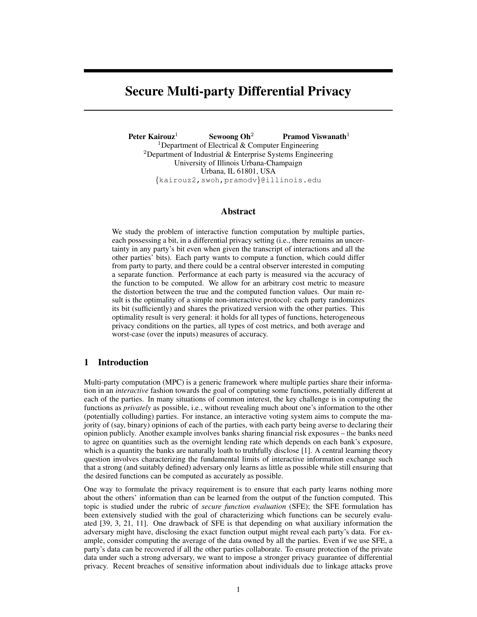# Secure Multi-party Differential Privacy

Peter Kairouz<sup>1</sup> Sewoong Oh<sup>2</sup> Pramod Viswanath<sup>1</sup> <sup>1</sup>Department of Electrical  $&$  Computer Engineering <sup>2</sup>Department of Industrial  $&$  Enterprise Systems Engineering University of Illinois Urbana-Champaign Urbana, IL 61801, USA {kairouz2,swoh,pramodv}@illinois.edu

## Abstract

We study the problem of interactive function computation by multiple parties, each possessing a bit, in a differential privacy setting (i.e., there remains an uncertainty in any party's bit even when given the transcript of interactions and all the other parties' bits). Each party wants to compute a function, which could differ from party to party, and there could be a central observer interested in computing a separate function. Performance at each party is measured via the accuracy of the function to be computed. We allow for an arbitrary cost metric to measure the distortion between the true and the computed function values. Our main result is the optimality of a simple non-interactive protocol: each party randomizes its bit (sufficiently) and shares the privatized version with the other parties. This optimality result is very general: it holds for all types of functions, heterogeneous privacy conditions on the parties, all types of cost metrics, and both average and worst-case (over the inputs) measures of accuracy.

# 1 Introduction

Multi-party computation (MPC) is a generic framework where multiple parties share their information in an *interactive* fashion towards the goal of computing some functions, potentially different at each of the parties. In many situations of common interest, the key challenge is in computing the functions as *privately* as possible, i.e., without revealing much about one's information to the other (potentially colluding) parties. For instance, an interactive voting system aims to compute the majority of (say, binary) opinions of each of the parties, with each party being averse to declaring their opinion publicly. Another example involves banks sharing financial risk exposures – the banks need to agree on quantities such as the overnight lending rate which depends on each bank's exposure, which is a quantity the banks are naturally loath to truthfully disclose [1]. A central learning theory question involves characterizing the fundamental limits of interactive information exchange such that a strong (and suitably defined) adversary only learns as little as possible while still ensuring that the desired functions can be computed as accurately as possible.

One way to formulate the privacy requirement is to ensure that each party learns nothing more about the others' information than can be learned from the output of the function computed. This topic is studied under the rubric of *secure function evaluation* (SFE); the SFE formulation has been extensively studied with the goal of characterizing which functions can be securely evaluated [39, 3, 21, 11]. One drawback of SFE is that depending on what auxiliary information the adversary might have, disclosing the exact function output might reveal each party's data. For example, consider computing the average of the data owned by all the parties. Even if we use SFE, a party's data can be recovered if all the other parties collaborate. To ensure protection of the private data under such a strong adversary, we want to impose a stronger privacy guarantee of differential privacy. Recent breaches of sensitive information about individuals due to linkage attacks prove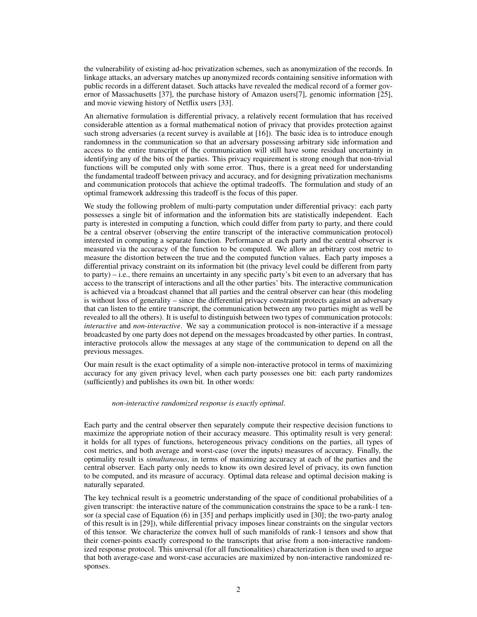the vulnerability of existing ad-hoc privatization schemes, such as anonymization of the records. In linkage attacks, an adversary matches up anonymized records containing sensitive information with public records in a different dataset. Such attacks have revealed the medical record of a former governor of Massachusetts [37], the purchase history of Amazon users[7], genomic information [25], and movie viewing history of Netflix users [33].

An alternative formulation is differential privacy, a relatively recent formulation that has received considerable attention as a formal mathematical notion of privacy that provides protection against such strong adversaries (a recent survey is available at [16]). The basic idea is to introduce enough randomness in the communication so that an adversary possessing arbitrary side information and access to the entire transcript of the communication will still have some residual uncertainty in identifying any of the bits of the parties. This privacy requirement is strong enough that non-trivial functions will be computed only with some error. Thus, there is a great need for understanding the fundamental tradeoff between privacy and accuracy, and for designing privatization mechanisms and communication protocols that achieve the optimal tradeoffs. The formulation and study of an optimal framework addressing this tradeoff is the focus of this paper.

We study the following problem of multi-party computation under differential privacy: each party possesses a single bit of information and the information bits are statistically independent. Each party is interested in computing a function, which could differ from party to party, and there could be a central observer (observing the entire transcript of the interactive communication protocol) interested in computing a separate function. Performance at each party and the central observer is measured via the accuracy of the function to be computed. We allow an arbitrary cost metric to measure the distortion between the true and the computed function values. Each party imposes a differential privacy constraint on its information bit (the privacy level could be different from party to party) – i.e., there remains an uncertainty in any specific party's bit even to an adversary that has access to the transcript of interactions and all the other parties' bits. The interactive communication is achieved via a broadcast channel that all parties and the central observer can hear (this modeling is without loss of generality – since the differential privacy constraint protects against an adversary that can listen to the entire transcript, the communication between any two parties might as well be revealed to all the others). It is useful to distinguish between two types of communication protocols: *interactive* and *non-interactive*. We say a communication protocol is non-interactive if a message broadcasted by one party does not depend on the messages broadcasted by other parties. In contrast, interactive protocols allow the messages at any stage of the communication to depend on all the previous messages.

Our main result is the exact optimality of a simple non-interactive protocol in terms of maximizing accuracy for any given privacy level, when each party possesses one bit: each party randomizes (sufficiently) and publishes its own bit. In other words:

#### *non-interactive randomized response is exactly optimal*.

Each party and the central observer then separately compute their respective decision functions to maximize the appropriate notion of their accuracy measure. This optimality result is very general: it holds for all types of functions, heterogeneous privacy conditions on the parties, all types of cost metrics, and both average and worst-case (over the inputs) measures of accuracy. Finally, the optimality result is *simultaneous*, in terms of maximizing accuracy at each of the parties and the central observer. Each party only needs to know its own desired level of privacy, its own function to be computed, and its measure of accuracy. Optimal data release and optimal decision making is naturally separated.

The key technical result is a geometric understanding of the space of conditional probabilities of a given transcript: the interactive nature of the communication constrains the space to be a rank-1 tensor (a special case of Equation (6) in [35] and perhaps implicitly used in [30]; the two-party analog of this result is in [29]), while differential privacy imposes linear constraints on the singular vectors of this tensor. We characterize the convex hull of such manifolds of rank-1 tensors and show that their corner-points exactly correspond to the transcripts that arise from a non-interactive randomized response protocol. This universal (for all functionalities) characterization is then used to argue that both average-case and worst-case accuracies are maximized by non-interactive randomized responses.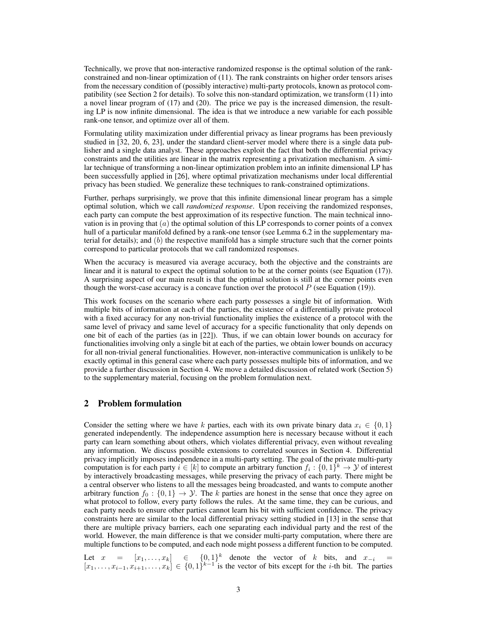Technically, we prove that non-interactive randomized response is the optimal solution of the rankconstrained and non-linear optimization of (11). The rank constraints on higher order tensors arises from the necessary condition of (possibly interactive) multi-party protocols, known as protocol compatibility (see Section 2 for details). To solve this non-standard optimization, we transform (11) into a novel linear program of (17) and (20). The price we pay is the increased dimension, the resulting LP is now infinite dimensional. The idea is that we introduce a new variable for each possible rank-one tensor, and optimize over all of them.

Formulating utility maximization under differential privacy as linear programs has been previously studied in [32, 20, 6, 23], under the standard client-server model where there is a single data publisher and a single data analyst. These approaches exploit the fact that both the differential privacy constraints and the utilities are linear in the matrix representing a privatization mechanism. A similar technique of transforming a non-linear optimization problem into an infinite dimensional LP has been successfully applied in [26], where optimal privatization mechanisms under local differential privacy has been studied. We generalize these techniques to rank-constrained optimizations.

Further, perhaps surprisingly, we prove that this infinite dimensional linear program has a simple optimal solution, which we call *randomized response*. Upon receiving the randomized responses, each party can compute the best approximation of its respective function. The main technical innovation is in proving that  $(a)$  the optimal solution of this LP corresponds to corner points of a convex hull of a particular manifold defined by a rank-one tensor (see Lemma 6.2 in the supplementary material for details); and  $(b)$  the respective manifold has a simple structure such that the corner points correspond to particular protocols that we call randomized responses.

When the accuracy is measured via average accuracy, both the objective and the constraints are linear and it is natural to expect the optimal solution to be at the corner points (see Equation (17)). A surprising aspect of our main result is that the optimal solution is still at the corner points even though the worst-case accuracy is a concave function over the protocol  $P$  (see Equation (19)).

This work focuses on the scenario where each party possesses a single bit of information. With multiple bits of information at each of the parties, the existence of a differentially private protocol with a fixed accuracy for any non-trivial functionality implies the existence of a protocol with the same level of privacy and same level of accuracy for a specific functionality that only depends on one bit of each of the parties (as in [22]). Thus, if we can obtain lower bounds on accuracy for functionalities involving only a single bit at each of the parties, we obtain lower bounds on accuracy for all non-trivial general functionalities. However, non-interactive communication is unlikely to be exactly optimal in this general case where each party possesses multiple bits of information, and we provide a further discussion in Section 4. We move a detailed discussion of related work (Section 5) to the supplementary material, focusing on the problem formulation next.

# 2 Problem formulation

Consider the setting where we have k parties, each with its own private binary data  $x_i \in \{0, 1\}$ generated independently. The independence assumption here is necessary because without it each party can learn something about others, which violates differential privacy, even without revealing any information. We discuss possible extensions to correlated sources in Section 4. Differential privacy implicitly imposes independence in a multi-party setting. The goal of the private multi-party computation is for each party  $i \in [k]$  to compute an arbitrary function  $f_i : \{0,1\}^k \to \mathcal{Y}$  of interest by interactively broadcasting messages, while preserving the privacy of each party. There might be a central observer who listens to all the messages being broadcasted, and wants to compute another arbitrary function  $f_0: \{0,1\} \rightarrow \mathcal{Y}$ . The k parties are honest in the sense that once they agree on what protocol to follow, every party follows the rules. At the same time, they can be curious, and each party needs to ensure other parties cannot learn his bit with sufficient confidence. The privacy constraints here are similar to the local differential privacy setting studied in [13] in the sense that there are multiple privacy barriers, each one separating each individual party and the rest of the world. However, the main difference is that we consider multi-party computation, where there are multiple functions to be computed, and each node might possess a different function to be computed.

Let  $x = [x_1, \ldots, x_k] \in \{0, 1\}^k$  denote the vector of k bits, and  $x_{-i} =$  $[x_1, \ldots, x_{i-1}, x_{i+1}, \ldots, x_k] \in \{0, 1\}^{k-1}$  is the vector of bits except for the *i*-th bit. The parties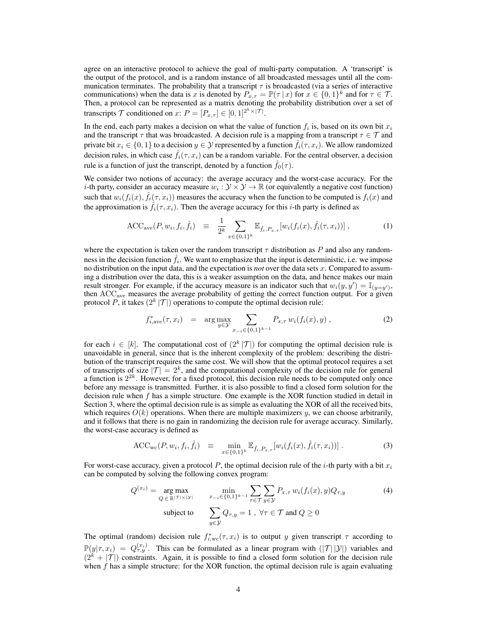agree on an interactive protocol to achieve the goal of multi-party computation. A 'transcript' is the output of the protocol, and is a random instance of all broadcasted messages until all the communication terminates. The probability that a transcript  $\tau$  is broadcasted (via a series of interactive communications) when the data is x is denoted by  $P_{x,\tau} = \mathbb{P}(\tau | x)$  for  $x \in \{0,1\}^k$  and for  $\tau \in \mathcal{T}$ . Then, a protocol can be represented as a matrix denoting the probability distribution over a set of transcripts  $\mathcal T$  conditioned on  $x: P = [P_{x,\tau}] \in [0,1]^{2^k \times |\mathcal T|}$ .

In the end, each party makes a decision on what the value of function  $f_i$  is, based on its own bit  $x_i$ and the transcript  $\tau$  that was broadcasted. A decision rule is a mapping from a transcript  $\tau \in \mathcal{T}$  and private bit  $x_i \in \{0, 1\}$  to a decision  $y \in \mathcal{Y}$  represented by a function  $\hat{f}_i(\tau, x_i)$ . We allow randomized decision rules, in which case  $\hat{f}_i(\tau, x_i)$  can be a random variable. For the central observer, a decision rule is a function of just the transcript, denoted by a function  $\hat{f}_0(\tau)$ .

We consider two notions of accuracy: the average accuracy and the worst-case accuracy. For the *i*-th party, consider an accuracy measure  $w_i : \mathcal{Y} \times \mathcal{Y} \to \mathbb{R}$  (or equivalently a negative cost function) such that  $w_i(f_i(x), \hat{f}_i(\tau, x_i))$  measures the accuracy when the function to be computed is  $f_i(x)$  and the approximation is  $\hat{f}_i(\tau, x_i)$ . Then the average accuracy for this *i*-th party is defined as

$$
\text{ACC}_{\text{ave}}(P, w_i, f_i, \hat{f}_i) \equiv \frac{1}{2^k} \sum_{x \in \{0, 1\}^k} \mathbb{E}_{\hat{f}_i, P_{x, \tau}}[w_i(f_i(x), \hat{f}_i(\tau, x_i))] \,, \tag{1}
$$

where the expectation is taken over the random transcript  $\tau$  distribution as P and also any randomness in the decision function  $\hat{f}_i$ . We want to emphasize that the input is deterministic, i.e. we impose no distribution on the input data, and the expectation is *not* over the data sets x. Compared to assuming a distribution over the data, this is a weaker assumption on the data, and hence makes our main result stronger. For example, if the accuracy measure is an indicator such that  $w_i(y, y') = \mathbb{I}_{(y=y')}$ , then ACC<sub>ave</sub> measures the average probability of getting the correct function output. For a given protocol P, it takes  $(2^k | \mathcal{T}|)$  operations to compute the optimal decision rule:

$$
f_{i,\text{ave}}^*(\tau, x_i) = \arg \max_{y \in \mathcal{Y}} \sum_{x_{-i} \in \{0,1\}^{k-1}} P_{x,\tau} w_i(f_i(x), y) , \qquad (2)
$$

for each  $i \in [k]$ . The computational cost of  $(2^k | \mathcal{T}|)$  for computing the optimal decision rule is unavoidable in general, since that is the inherent complexity of the problem: describing the distribution of the transcript requires the same cost. We will show that the optimal protocol requires a set of transcripts of size  $|\mathcal{T}| = 2^k$ , and the computational complexity of the decision rule for general a function is  $2^{2k}$ . However, for a fixed protocol, this decision rule needs to be computed only once before any message is transmitted. Further, it is also possible to find a closed form solution for the decision rule when f has a simple structure. One example is the XOR function studied in detail in Section 3, where the optimal decision rule is as simple as evaluating the XOR of all the received bits, which requires  $O(k)$  operations. When there are multiple maximizers y, we can choose arbitrarily, and it follows that there is no gain in randomizing the decision rule for average accuracy. Similarly, the worst-case accuracy is defined as

$$
\text{ACC}_{wc}(P, w_i, f_i, \hat{f}_i) \equiv \min_{x \in \{0, 1\}^k} \mathbb{E}_{\hat{f}_i, P_{x, \tau}}[w_i(f_i(x), \hat{f}_i(\tau, x_i))] \,. \tag{3}
$$

For worst-case accuracy, given a protocol P, the optimal decision rule of the *i*-th party with a bit  $x_i$ can be computed by solving the following convex program:

$$
Q^{(x_i)} = \underset{Q \in \mathbb{R}^{|\mathcal{T}| \times |\mathcal{Y}|}}{\arg \max} \qquad \underset{x_{-i} \in \{0, 1\}^{k-1}}{\min} \sum_{\tau \in \mathcal{T}} \sum_{y \in \mathcal{Y}} P_{x, \tau} w_i(f_i(x), y) Q_{\tau, y} \tag{4}
$$
  
subject to 
$$
\sum_{y \in \mathcal{Y}} Q_{\tau, y} = 1, \forall \tau \in \mathcal{T} \text{ and } Q \ge 0
$$

The optimal (random) decision rule  $f_{i,\text{wc}}^*(\tau, x_i)$  is to output y given transcript  $\tau$  according to  $\mathbb{P}(y|\tau, x_i) = Q^{(x_i)}_{\tau, y}$ . This can be formulated as a linear program with  $(|\mathcal{T}| |\mathcal{Y}|)$  variables and  $(2<sup>k</sup> + |T|)$  constraints. Again, it is possible to find a closed form solution for the decision rule when  $f$  has a simple structure: for the XOR function, the optimal decision rule is again evaluating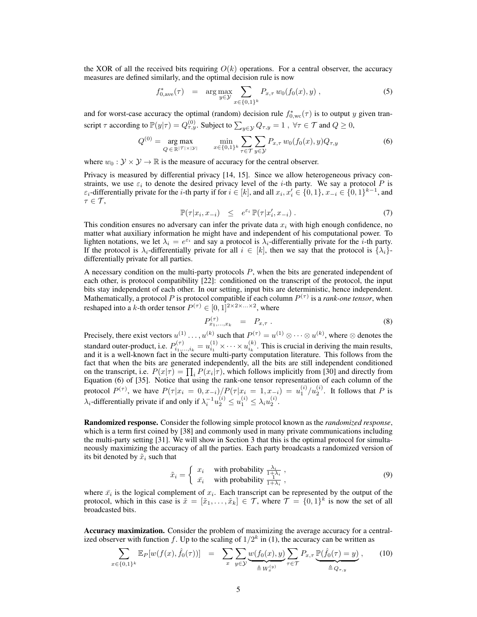the XOR of all the received bits requiring  $O(k)$  operations. For a central observer, the accuracy measures are defined similarly, and the optimal decision rule is now

$$
f_{0,\text{ave}}^*(\tau) = \arg \max_{y \in \mathcal{Y}} \sum_{x \in \{0,1\}^k} P_{x,\tau} w_0(f_0(x), y) , \qquad (5)
$$

and for worst-case accuracy the optimal (random) decision rule  $f_{0,wc}^*(\tau)$  is to output y given transcript  $\tau$  according to  $\mathbb{P}(y|\tau) = Q_{\tau,y}^{(0)}$ . Subject to  $\sum_{y \in \mathcal{Y}} Q_{\tau,y} = 1$  ,  $\forall \tau \in \mathcal{T}$  and  $Q \ge 0$ ,

$$
Q^{(0)} = \underset{Q \in \mathbb{R}^{|\mathcal{T}| \times |\mathcal{Y}|}}{\arg \max} \qquad \underset{x \in \{0,1\}^k}{\min} \sum_{\tau \in \mathcal{T}} \sum_{y \in \mathcal{Y}} P_{x,\tau} w_0(f_0(x), y) Q_{\tau,y} \tag{6}
$$

where  $w_0 : \mathcal{Y} \times \mathcal{Y} \to \mathbb{R}$  is the measure of accuracy for the central observer.

Privacy is measured by differential privacy [14, 15]. Since we allow heterogeneous privacy constraints, we use  $\varepsilon_i$  to denote the desired privacy level of the *i*-th party. We say a protocol P is  $\varepsilon_i$ -differentially private for the *i*-th party if for  $i \in [k]$ , and all  $x_i, x'_i \in \{0, 1\}, x_{-i} \in \{0, 1\}^{k-1}$ , and  $\tau \in \mathcal{T}$ ,

$$
\mathbb{P}(\tau|x_i, x_{-i}) \leq e^{\varepsilon_i} \mathbb{P}(\tau|x'_i, x_{-i}). \tag{7}
$$

This condition ensures no adversary can infer the private data  $x_i$  with high enough confidence, no matter what auxiliary information he might have and independent of his computational power. To lighten notations, we let  $\lambda_i = e^{\epsilon_i}$  and say a protocol is  $\lambda_i$ -differentially private for the *i*-th party. If the protocol is  $\lambda_i$ -differentially private for all  $i \in [k]$ , then we say that the protocol is  $\{\lambda_i\}$ differentially private for all parties.

A necessary condition on the multi-party protocols P, when the bits are generated independent of each other, is protocol compatibility [22]: conditioned on the transcript of the protocol, the input bits stay independent of each other. In our setting, input bits are deterministic, hence independent. Mathematically, a protocol  $P$  is protocol compatible if each column  $P^{(\tau)}$  is a *rank-one tensor*, when reshaped into a k-th order tensor  $P^{(\tau)} \in [0,1]^{2 \times 2 \times ... \times 2}$ , where

$$
P_{x_1,\dots,x_k}^{(\tau)} = P_{x,\tau} . \tag{8}
$$

Precisely, there exist vectors  $u^{(1)} \dots, u^{(k)}$  such that  $P^{(\tau)} = u^{(1)} \otimes \dots \otimes u^{(k)}$ , where  $\otimes$  denotes the standard outer-product, i.e.  $P_{i_1,\dots,i_k}^{(\tau)} = u_{i_1}^{(1)} \times \cdots \times u_{i_k}^{(k)}$ . This is crucial in deriving the main results, and it is a well-known fact in the secure multi-party computation literature. This follows from the fact that when the bits are generated independently, all the bits are still independent conditioned on the transcript, i.e.  $P(x|\tau) = \prod_i P(x_i|\tau)$ , which follows implicitly from [30] and directly from Equation (6) of [35]. Notice that using the rank-one tensor representation of each column of the protocol  $P^{(\tau)}$ , we have  $P(\tau | x_i = 0, x_{-i})/P(\tau | x_i = 1, x_{-i}) = u_1^{(i)}/u_2^{(i)}$ . It follows that P is  $\lambda_i$ -differentially private if and only if  $\lambda_i^{-1} u_2^{(i)} \leq u_1^{(i)} \leq \lambda_i u_2^{(i)}$ .

Randomized response. Consider the following simple protocol known as the *randomized response*, which is a term first coined by [38] and commonly used in many private communications including the multi-party setting [31]. We will show in Section 3 that this is the optimal protocol for simultaneously maximizing the accuracy of all the parties. Each party broadcasts a randomized version of its bit denoted by  $\tilde{x}_i$  such that

$$
\tilde{x}_i = \begin{cases}\n x_i & \text{with probability } \frac{\lambda_i}{1 + \lambda_i}, \\
\bar{x}_i & \text{with probability } \frac{1}{1 + \lambda_i},\n\end{cases}
$$
\n(9)

where  $\bar{x}_i$  is the logical complement of  $x_i$ . Each transcript can be represented by the output of the protocol, which in this case is  $\tilde{x} = [\tilde{x}_1, \dots, \tilde{x}_k] \in \mathcal{T}$ , where  $\mathcal{T} = \{0, 1\}^k$  is now the set of all broadcasted bits.

Accuracy maximization. Consider the problem of maximizing the average accuracy for a centralized observer with function f. Up to the scaling of  $1/2^k$  in (1), the accuracy can be written as

$$
\sum_{x \in \{0,1\}^k} \mathbb{E}_P[w(f(x), \hat{f}_0(\tau))] = \sum_x \sum_{y \in \mathcal{Y}} \underbrace{w(f_0(x), y)}_{\triangleq W_x^{(y)}} \sum_{\tau \in \mathcal{T}} P_{x, \tau} \underbrace{\mathbb{P}(\hat{f}_0(\tau) = y)}_{\triangleq Q_{\tau, y}}, \quad (10)
$$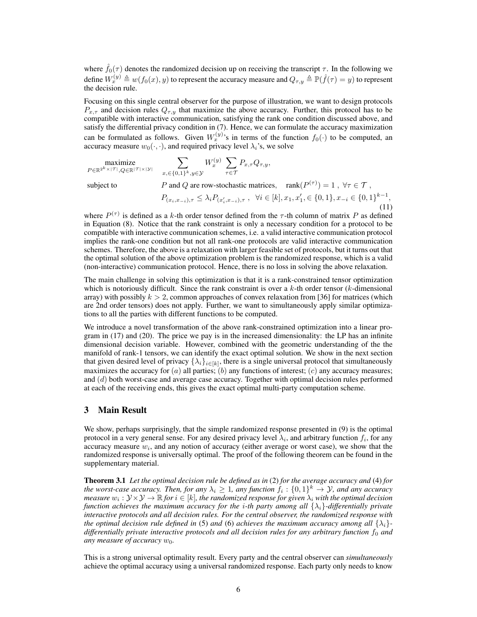where  $\hat{f}_0(\tau)$  denotes the randomized decision up on receiving the transcript  $\tau$ . In the following we define  $W_x^{(y)} \triangleq w(f_0(x), y)$  to represent the accuracy measure and  $Q_{\tau,y} \triangleq \mathbb{P}(\hat{f}(\tau) = y)$  to represent the decision rule.

Focusing on this single central observer for the purpose of illustration, we want to design protocols  $P_{x,\tau}$  and decision rules  $Q_{\tau,y}$  that maximize the above accuracy. Further, this protocol has to be compatible with interactive communication, satisfying the rank one condition discussed above, and satisfy the differential privacy condition in (7). Hence, we can formulate the accuracy maximization can be formulated as follows. Given  $W_x^{(y)}$ 's in terms of the function  $f_0(\cdot)$  to be computed, an accuracy measure  $w_0(\cdot, \cdot)$ , and required privacy level  $\lambda_i$ 's, we solve

$$
\underset{P \in \mathbb{R}^{2^k \times |\mathcal{T}|}, Q \in \mathbb{R}^{|\mathcal{T}| \times |\mathcal{Y}|}}{\operatorname{maximize}} \sum_{x, \in \{0,1\}^k, y \in \mathcal{Y}} W_x^{(y)} \sum_{\tau \in \mathcal{T}} P_{x, \tau} Q_{\tau, y},
$$

subject to  $P$  and Q are row-stochastic matrices,  $rank(P^{(\tau)}) = 1$ ,  $\forall \tau \in \mathcal{T}$ ,  $P_{(x_i,x_{-i}),\tau} \leq \lambda_i P_{(x'_i,x_{-i}),\tau} , \quad \forall i \in [k], x_1, x'_1, \in \{0,1\}, x_{-i} \in \{0,1\}^{k-1},$ (11)

where  $P^{(\tau)}$  is defined as a k-th order tensor defined from the  $\tau$ -th column of matrix P as defined in Equation (8). Notice that the rank constraint is only a necessary condition for a protocol to be compatible with interactive communication schemes, i.e. a valid interactive communication protocol implies the rank-one condition but not all rank-one protocols are valid interactive communication schemes. Therefore, the above is a relaxation with larger feasible set of protocols, but it turns out that the optimal solution of the above optimization problem is the randomized response, which is a valid (non-interactive) communication protocol. Hence, there is no loss in solving the above relaxation.

The main challenge in solving this optimization is that it is a rank-constrained tensor optimization which is notoriously difficult. Since the rank constraint is over a  $k$ -th order tensor ( $k$ -dimensional array) with possibly  $k > 2$ , common approaches of convex relaxation from [36] for matrices (which are 2nd order tensors) does not apply. Further, we want to simultaneously apply similar optimizations to all the parties with different functions to be computed.

We introduce a novel transformation of the above rank-constrained optimization into a linear program in (17) and (20). The price we pay is in the increased dimensionality: the LP has an infinite dimensional decision variable. However, combined with the geometric understanding of the the manifold of rank-1 tensors, we can identify the exact optimal solution. We show in the next section that given desired level of privacy  $\{\lambda_i\}_{i \in [k]}$ , there is a single universal protocol that simultaneously maximizes the accuracy for  $(a)$  all parties;  $(b)$  any functions of interest;  $(c)$  any accuracy measures; and (d) both worst-case and average case accuracy. Together with optimal decision rules performed at each of the receiving ends, this gives the exact optimal multi-party computation scheme.

#### 3 Main Result

We show, perhaps surprisingly, that the simple randomized response presented in (9) is the optimal protocol in a very general sense. For any desired privacy level  $\lambda_i$ , and arbitrary function  $f_i$ , for any accuracy measure  $w_i$ , and any notion of accuracy (either average or worst case), we show that the randomized response is universally optimal. The proof of the following theorem can be found in the supplementary material.

Theorem 3.1 *Let the optimal decision rule be defined as in* (2) *for the average accuracy and* (4) *for the worst-case accuracy. Then, for any*  $\lambda_i \geq 1$ , any function  $f_i: \{0,1\}^k \to Y$ , and any accuracy  $m$ easure  $w_i: \mathcal{Y} \times \mathcal{Y} \to \mathbb{R}$  for  $i \in [k]$ , the randomized response for given  $\lambda_i$  with the optimal decision *function achieves the maximum accuracy for the* i*-th party among all* {λi}*-differentially private interactive protocols and all decision rules. For the central observer, the randomized response with the optimal decision rule defined in* (5) *and* (6) *achieves the maximum accuracy among all*  $\{\lambda_i\}$ *differentially private interactive protocols and all decision rules for any arbitrary function*  $f_0$  *and any measure of accuracy*  $w_0$ *.* 

This is a strong universal optimality result. Every party and the central observer can *simultaneously* achieve the optimal accuracy using a universal randomized response. Each party only needs to know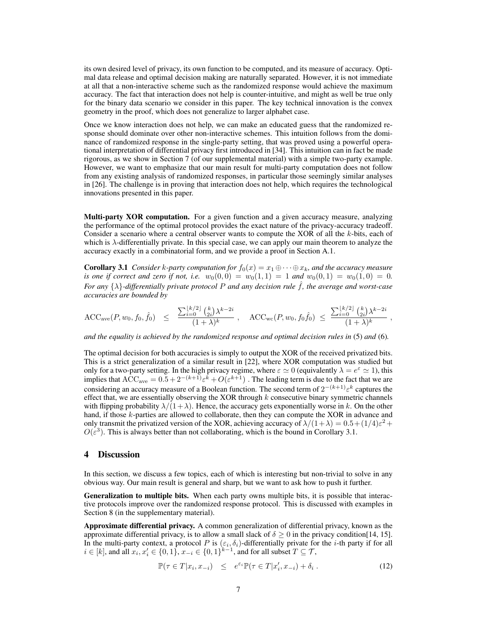its own desired level of privacy, its own function to be computed, and its measure of accuracy. Optimal data release and optimal decision making are naturally separated. However, it is not immediate at all that a non-interactive scheme such as the randomized response would achieve the maximum accuracy. The fact that interaction does not help is counter-intuitive, and might as well be true only for the binary data scenario we consider in this paper. The key technical innovation is the convex geometry in the proof, which does not generalize to larger alphabet case.

Once we know interaction does not help, we can make an educated guess that the randomized response should dominate over other non-interactive schemes. This intuition follows from the dominance of randomized response in the single-party setting, that was proved using a powerful operational interpretation of differential privacy first introduced in [34]. This intuition can in fact be made rigorous, as we show in Section 7 (of our supplemental material) with a simple two-party example. However, we want to emphasize that our main result for multi-party computation does not follow from any existing analysis of randomized responses, in particular those seemingly similar analyses in [26]. The challenge is in proving that interaction does not help, which requires the technological innovations presented in this paper.

Multi-party XOR computation. For a given function and a given accuracy measure, analyzing the performance of the optimal protocol provides the exact nature of the privacy-accuracy tradeoff. Consider a scenario where a central observer wants to compute the XOR of all the k-bits, each of which is  $\lambda$ -differentially private. In this special case, we can apply our main theorem to analyze the accuracy exactly in a combinatorial form, and we provide a proof in Section A.1.

**Corollary 3.1** *Consider k-party computation for*  $f_0(x) = x_1 \oplus \cdots \oplus x_k$ *, and the accuracy measure is one if correct and zero if not, i.e.*  $w_0(0,0) = w_0(1,1) = 1$  *and*  $w_0(0,1) = w_0(1,0) = 0$ . *For any* {λ}*-differentially private protocol* <sup>P</sup> *and any decision rule* <sup>ˆ</sup>f*, the average and worst-case accuracies are bounded by*

$$
\text{ACC}_{\text{ave}}(P, w_0, f_0, \hat{f}_0) \leq \frac{\sum_{i=0}^{\lfloor k/2 \rfloor} {k \choose 2i} \lambda^{k-2i}}{(1+\lambda)^k} \ , \quad \text{ACC}_{\text{wc}}(P, w_0, f_0\hat{f}_0) \leq \frac{\sum_{i=0}^{\lfloor k/2 \rfloor} {k \choose 2i} \lambda^{k-2i}}{(1+\lambda)^k}
$$

,

*and the equality is achieved by the randomized response and optimal decision rules in* (5) *and* (6)*.*

The optimal decision for both accuracies is simply to output the XOR of the received privatized bits. This is a strict generalization of a similar result in [22], where XOR computation was studied but only for a two-party setting. In the high privacy regime, where  $\varepsilon \simeq 0$  (equivalently  $\lambda = e^{\varepsilon} \simeq 1$ ), this implies that  $ACC_{ave} = 0.5 + 2^{-(k+1)}\varepsilon^k + O(\varepsilon^{k+1})$ . The leading term is due to the fact that we are considering an accuracy measure of a Boolean function. The second term of  $2^{-(k+1)}\varepsilon^k$  captures the effect that, we are essentially observing the XOR through  $k$  consecutive binary symmetric channels with flipping probability  $\lambda/(1+\lambda)$ . Hence, the accuracy gets exponentially worse in k. On the other hand, if those  $k$ -parties are allowed to collaborate, then they can compute the XOR in advance and only transmit the privatized version of the XOR, achieving accuracy of  $\lambda/(1+\lambda) = 0.5 + (1/4)\varepsilon^2 +$  $O(\varepsilon^3)$ . This is always better than not collaborating, which is the bound in Corollary 3.1.

### 4 Discussion

In this section, we discuss a few topics, each of which is interesting but non-trivial to solve in any obvious way. Our main result is general and sharp, but we want to ask how to push it further.

Generalization to multiple bits. When each party owns multiple bits, it is possible that interactive protocols improve over the randomized response protocol. This is discussed with examples in Section 8 (in the supplementary material).

Approximate differential privacy. A common generalization of differential privacy, known as the approximate differential privacy, is to allow a small slack of  $\delta \ge 0$  in the privacy condition[14, 15]. In the multi-party context, a protocol P is  $(\varepsilon_i, \delta_i)$ -differentially private for the *i*-th party if for all  $i \in [k]$ , and all  $x_i, x'_i \in \{0, 1\}$ ,  $x_{-i} \in \{0, 1\}^{k-1}$ , and for all subset  $T \subseteq \mathcal{T}$ ,

$$
\mathbb{P}(\tau \in T | x_i, x_{-i}) \leq e^{\varepsilon_i} \mathbb{P}(\tau \in T | x_i', x_{-i}) + \delta_i.
$$
\n(12)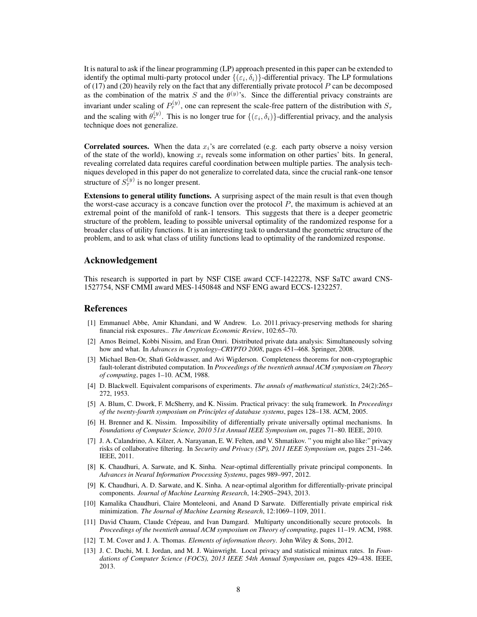It is natural to ask if the linear programming (LP) approach presented in this paper can be extended to identify the optimal multi-party protocol under  $\{(\varepsilon_i, \delta_i)\}$ -differential privacy. The LP formulations of  $(17)$  and  $(20)$  heavily rely on the fact that any differentially private protocol P can be decomposed as the combination of the matrix S and the  $\theta^{(y)}$ 's. Since the differential privacy constraints are invariant under scaling of  $P_{\tau}^{(y)}$ , one can represent the scale-free pattern of the distribution with  $S_{\tau}$ and the scaling with  $\theta_{\tau}^{(y)}$ . This is no longer true for  $\{(\varepsilon_i, \delta_i)\}\)$ -differential privacy, and the analysis technique does not generalize.

**Correlated sources.** When the data  $x_i$ 's are correlated (e.g. each party observe a noisy version of the state of the world), knowing  $x_i$  reveals some information on other parties' bits. In general, revealing correlated data requires careful coordination between multiple parties. The analysis techniques developed in this paper do not generalize to correlated data, since the crucial rank-one tensor structure of  $S_{\tau}^{(y)}$  is no longer present.

Extensions to general utility functions. A surprising aspect of the main result is that even though the worst-case accuracy is a concave function over the protocol  $P$ , the maximum is achieved at an extremal point of the manifold of rank-1 tensors. This suggests that there is a deeper geometric structure of the problem, leading to possible universal optimality of the randomized response for a broader class of utility functions. It is an interesting task to understand the geometric structure of the problem, and to ask what class of utility functions lead to optimality of the randomized response.

## Acknowledgement

This research is supported in part by NSF CISE award CCF-1422278, NSF SaTC award CNS-1527754, NSF CMMI award MES-1450848 and NSF ENG award ECCS-1232257.

## **References**

- [1] Emmanuel Abbe, Amir Khandani, and W Andrew. Lo. 2011.privacy-preserving methods for sharing financial risk exposures.. *The American Economic Review*, 102:65–70.
- [2] Amos Beimel, Kobbi Nissim, and Eran Omri. Distributed private data analysis: Simultaneously solving how and what. In *Advances in Cryptology–CRYPTO 2008*, pages 451–468. Springer, 2008.
- [3] Michael Ben-Or, Shafi Goldwasser, and Avi Wigderson. Completeness theorems for non-cryptographic fault-tolerant distributed computation. In *Proceedings of the twentieth annual ACM symposium on Theory of computing*, pages 1–10. ACM, 1988.
- [4] D. Blackwell. Equivalent comparisons of experiments. *The annals of mathematical statistics*, 24(2):265– 272, 1953.
- [5] A. Blum, C. Dwork, F. McSherry, and K. Nissim. Practical privacy: the sulq framework. In *Proceedings of the twenty-fourth symposium on Principles of database systems*, pages 128–138. ACM, 2005.
- [6] H. Brenner and K. Nissim. Impossibility of differentially private universally optimal mechanisms. In *Foundations of Computer Science, 2010 51st Annual IEEE Symposium on*, pages 71–80. IEEE, 2010.
- [7] J. A. Calandrino, A. Kilzer, A. Narayanan, E. W. Felten, and V. Shmatikov. " you might also like:" privacy risks of collaborative filtering. In *Security and Privacy (SP), 2011 IEEE Symposium on*, pages 231–246. IEEE, 2011.
- [8] K. Chaudhuri, A. Sarwate, and K. Sinha. Near-optimal differentially private principal components. In *Advances in Neural Information Processing Systems*, pages 989–997, 2012.
- [9] K. Chaudhuri, A. D. Sarwate, and K. Sinha. A near-optimal algorithm for differentially-private principal components. *Journal of Machine Learning Research*, 14:2905–2943, 2013.
- [10] Kamalika Chaudhuri, Claire Monteleoni, and Anand D Sarwate. Differentially private empirical risk minimization. *The Journal of Machine Learning Research*, 12:1069–1109, 2011.
- [11] David Chaum, Claude Crépeau, and Ivan Damgard. Multiparty unconditionally secure protocols. In *Proceedings of the twentieth annual ACM symposium on Theory of computing*, pages 11–19. ACM, 1988.
- [12] T. M. Cover and J. A. Thomas. *Elements of information theory*. John Wiley & Sons, 2012.
- [13] J. C. Duchi, M. I. Jordan, and M. J. Wainwright. Local privacy and statistical minimax rates. In *Foundations of Computer Science (FOCS), 2013 IEEE 54th Annual Symposium on*, pages 429–438. IEEE, 2013.